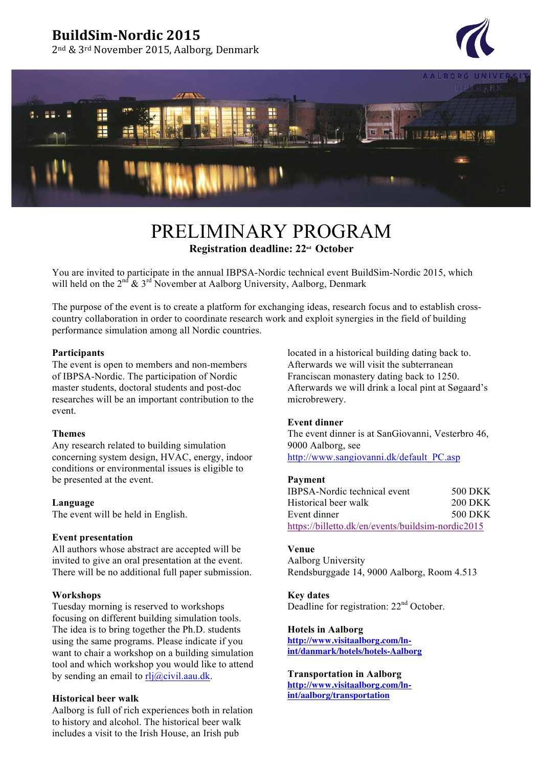## **BuildSim-Nordic 2015**

2<sup>nd</sup> & 3<sup>rd</sup> November 2015, Aalborg, Denmark





# PRELIMINARY PROGRAM **Registration deadline: 22nd October**

You are invited to participate in the annual IBPSA-Nordic technical event BuildSim-Nordic 2015, which will held on the  $2^{nd}$  &  $3^{rd}$  November at Aalborg University, Aalborg, Denmark

The purpose of the event is to create a platform for exchanging ideas, research focus and to establish crosscountry collaboration in order to coordinate research work and exploit synergies in the field of building performance simulation among all Nordic countries.

## **Participants**

The event is open to members and non-members of IBPSA-Nordic. The participation of Nordic master students, doctoral students and post-doc researches will be an important contribution to the event.

#### **Themes**

Any research related to building simulation concerning system design, HVAC, energy, indoor conditions or environmental issues is eligible to be presented at the event.

#### **Language**

The event will be held in English.

### **Event presentation**

All authors whose abstract are accepted will be invited to give an oral presentation at the event. There will be no additional full paper submission.

### **Workshops**

Tuesday morning is reserved to workshops focusing on different building simulation tools. The idea is to bring together the Ph.D. students using the same programs. Please indicate if you want to chair a workshop on a building simulation tool and which workshop you would like to attend by sending an email to  $r\frac{di}{a}$ civil.aau.dk.

### **Historical beer walk**

Aalborg is full of rich experiences both in relation to history and alcohol. The historical beer walk includes a visit to the Irish House, an Irish pub

located in a historical building dating back to. Afterwards we will visit the subterranean Franciscan monastery dating back to 1250. Afterwards we will drink a local pint at Søgaard's microbrewery.

### **Event dinner**

The event dinner is at SanGiovanni, Vesterbro 46, 9000 Aalborg, see

http://www.sangiovanni.dk/default\_PC.asp

#### **Payment**

| IBPSA-Nordic technical event                      | 500 DKK        |
|---------------------------------------------------|----------------|
| Historical beer walk                              | <b>200 DKK</b> |
| Event dinner                                      | 500 DKK        |
| https://billetto.dk/en/events/buildsim-nordic2015 |                |

#### **Venue**

Aalborg University Rendsburggade 14, 9000 Aalborg, Room 4.513

**Key dates** Deadline for registration: 22<sup>nd</sup> October.

**Hotels in Aalborg http://www.visitaalborg.com/lnint/danmark/hotels/hotels-Aalborg**

## **Transportation in Aalborg**

**http://www.visitaalborg.com/lnint/aalborg/transportation**